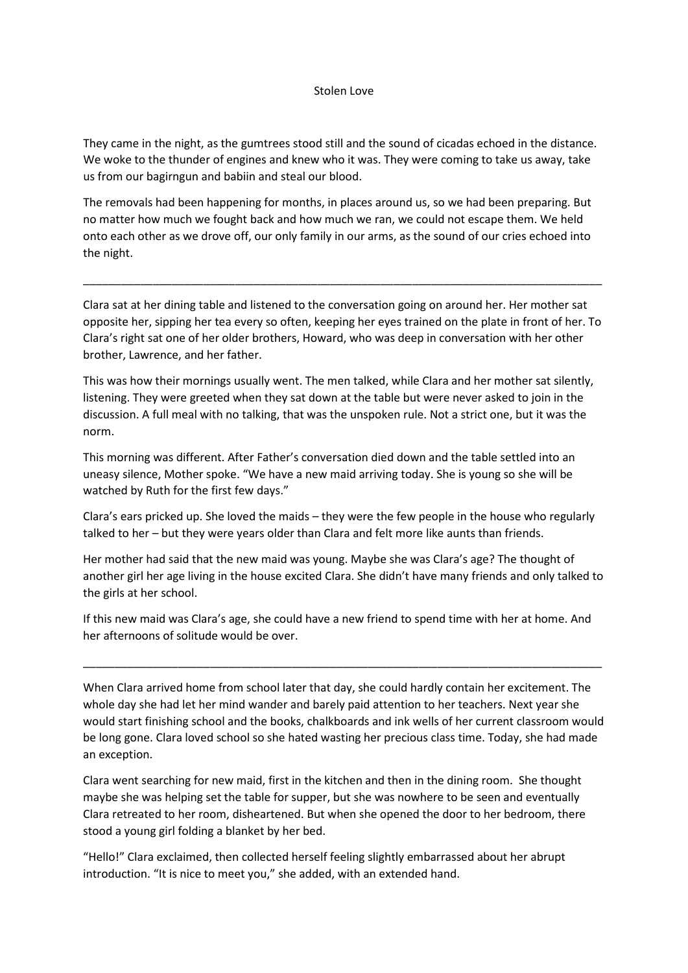### Stolen Love

They came in the night, as the gumtrees stood still and the sound of cicadas echoed in the distance. We woke to the thunder of engines and knew who it was. They were coming to take us away, take us from our bagirngun and babiin and steal our blood.

The removals had been happening for months, in places around us, so we had been preparing. But no matter how much we fought back and how much we ran, we could not escape them. We held onto each other as we drove off, our only family in our arms, as the sound of our cries echoed into the night.

Clara sat at her dining table and listened to the conversation going on around her. Her mother sat opposite her, sipping her tea every so often, keeping her eyes trained on the plate in front of her. To Clara's right sat one of her older brothers, Howard, who was deep in conversation with her other brother, Lawrence, and her father.

\_\_\_\_\_\_\_\_\_\_\_\_\_\_\_\_\_\_\_\_\_\_\_\_\_\_\_\_\_\_\_\_\_\_\_\_\_\_\_\_\_\_\_\_\_\_\_\_\_\_\_\_\_\_\_\_\_\_\_\_\_\_\_\_\_\_\_\_\_\_\_\_\_\_\_\_\_\_\_\_\_\_

This was how their mornings usually went. The men talked, while Clara and her mother sat silently, listening. They were greeted when they sat down at the table but were never asked to join in the discussion. A full meal with no talking, that was the unspoken rule. Not a strict one, but it was the norm.

This morning was different. After Father's conversation died down and the table settled into an uneasy silence, Mother spoke. "We have a new maid arriving today. She is young so she will be watched by Ruth for the first few days."

Clara's ears pricked up. She loved the maids – they were the few people in the house who regularly talked to her – but they were years older than Clara and felt more like aunts than friends.

Her mother had said that the new maid was young. Maybe she was Clara's age? The thought of another girl her age living in the house excited Clara. She didn't have many friends and only talked to the girls at her school.

If this new maid was Clara's age, she could have a new friend to spend time with her at home. And her afternoons of solitude would be over.

\_\_\_\_\_\_\_\_\_\_\_\_\_\_\_\_\_\_\_\_\_\_\_\_\_\_\_\_\_\_\_\_\_\_\_\_\_\_\_\_\_\_\_\_\_\_\_\_\_\_\_\_\_\_\_\_\_\_\_\_\_\_\_\_\_\_\_\_\_\_\_\_\_\_\_\_\_\_\_\_\_\_

When Clara arrived home from school later that day, she could hardly contain her excitement. The whole day she had let her mind wander and barely paid attention to her teachers. Next year she would start finishing school and the books, chalkboards and ink wells of her current classroom would be long gone. Clara loved school so she hated wasting her precious class time. Today, she had made an exception.

Clara went searching for new maid, first in the kitchen and then in the dining room. She thought maybe she was helping set the table for supper, but she was nowhere to be seen and eventually Clara retreated to her room, disheartened. But when she opened the door to her bedroom, there stood a young girl folding a blanket by her bed.

"Hello!" Clara exclaimed, then collected herself feeling slightly embarrassed about her abrupt introduction. "It is nice to meet you," she added, with an extended hand.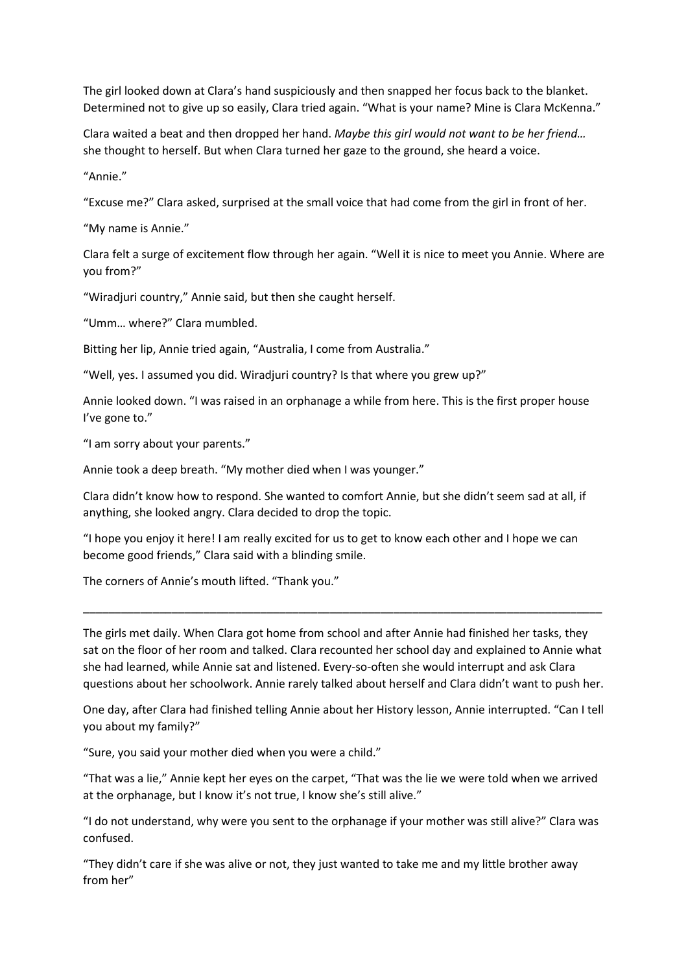The girl looked down at Clara's hand suspiciously and then snapped her focus back to the blanket. Determined not to give up so easily, Clara tried again. "What is your name? Mine is Clara McKenna."

Clara waited a beat and then dropped her hand. *Maybe this girl would not want to be her friend…* she thought to herself. But when Clara turned her gaze to the ground, she heard a voice.

"Annie."

"Excuse me?" Clara asked, surprised at the small voice that had come from the girl in front of her.

"My name is Annie."

Clara felt a surge of excitement flow through her again. "Well it is nice to meet you Annie. Where are you from?"

"Wiradjuri country," Annie said, but then she caught herself.

"Umm… where?" Clara mumbled.

Bitting her lip, Annie tried again, "Australia, I come from Australia."

"Well, yes. I assumed you did. Wiradjuri country? Is that where you grew up?"

Annie looked down. "I was raised in an orphanage a while from here. This is the first proper house I've gone to."

"I am sorry about your parents."

Annie took a deep breath. "My mother died when I was younger."

Clara didn't know how to respond. She wanted to comfort Annie, but she didn't seem sad at all, if anything, she looked angry. Clara decided to drop the topic.

"I hope you enjoy it here! I am really excited for us to get to know each other and I hope we can become good friends," Clara said with a blinding smile.

The corners of Annie's mouth lifted. "Thank you."

The girls met daily. When Clara got home from school and after Annie had finished her tasks, they sat on the floor of her room and talked. Clara recounted her school day and explained to Annie what she had learned, while Annie sat and listened. Every-so-often she would interrupt and ask Clara questions about her schoolwork. Annie rarely talked about herself and Clara didn't want to push her.

\_\_\_\_\_\_\_\_\_\_\_\_\_\_\_\_\_\_\_\_\_\_\_\_\_\_\_\_\_\_\_\_\_\_\_\_\_\_\_\_\_\_\_\_\_\_\_\_\_\_\_\_\_\_\_\_\_\_\_\_\_\_\_\_\_\_\_\_\_\_\_\_\_\_\_\_\_\_\_\_\_\_

One day, after Clara had finished telling Annie about her History lesson, Annie interrupted. "Can I tell you about my family?"

"Sure, you said your mother died when you were a child."

"That was a lie," Annie kept her eyes on the carpet, "That was the lie we were told when we arrived at the orphanage, but I know it's not true, I know she's still alive."

"I do not understand, why were you sent to the orphanage if your mother was still alive?" Clara was confused.

"They didn't care if she was alive or not, they just wanted to take me and my little brother away from her"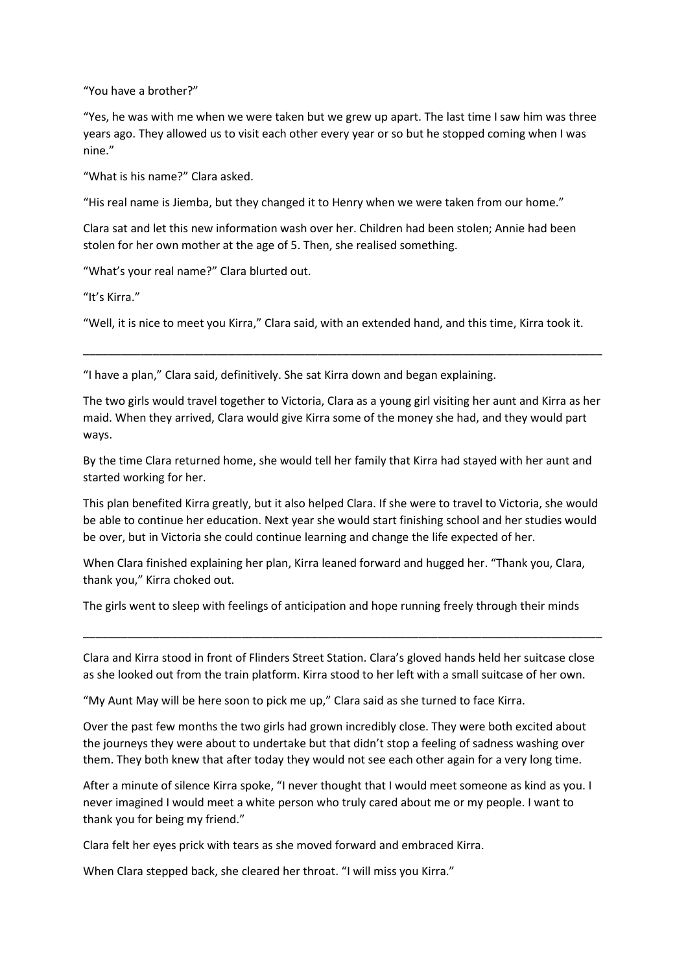"You have a brother?"

"Yes, he was with me when we were taken but we grew up apart. The last time I saw him was three years ago. They allowed us to visit each other every year or so but he stopped coming when I was nine."

"What is his name?" Clara asked.

"His real name is Jiemba, but they changed it to Henry when we were taken from our home."

Clara sat and let this new information wash over her. Children had been stolen; Annie had been stolen for her own mother at the age of 5. Then, she realised something.

"What's your real name?" Clara blurted out.

"It's Kirra."

"Well, it is nice to meet you Kirra," Clara said, with an extended hand, and this time, Kirra took it.

\_\_\_\_\_\_\_\_\_\_\_\_\_\_\_\_\_\_\_\_\_\_\_\_\_\_\_\_\_\_\_\_\_\_\_\_\_\_\_\_\_\_\_\_\_\_\_\_\_\_\_\_\_\_\_\_\_\_\_\_\_\_\_\_\_\_\_\_\_\_\_\_\_\_\_\_\_\_\_\_\_\_

"I have a plan," Clara said, definitively. She sat Kirra down and began explaining.

The two girls would travel together to Victoria, Clara as a young girl visiting her aunt and Kirra as her maid. When they arrived, Clara would give Kirra some of the money she had, and they would part ways.

By the time Clara returned home, she would tell her family that Kirra had stayed with her aunt and started working for her.

This plan benefited Kirra greatly, but it also helped Clara. If she were to travel to Victoria, she would be able to continue her education. Next year she would start finishing school and her studies would be over, but in Victoria she could continue learning and change the life expected of her.

When Clara finished explaining her plan, Kirra leaned forward and hugged her. "Thank you, Clara, thank you," Kirra choked out.

The girls went to sleep with feelings of anticipation and hope running freely through their minds

Clara and Kirra stood in front of Flinders Street Station. Clara's gloved hands held her suitcase close as she looked out from the train platform. Kirra stood to her left with a small suitcase of her own.

\_\_\_\_\_\_\_\_\_\_\_\_\_\_\_\_\_\_\_\_\_\_\_\_\_\_\_\_\_\_\_\_\_\_\_\_\_\_\_\_\_\_\_\_\_\_\_\_\_\_\_\_\_\_\_\_\_\_\_\_\_\_\_\_\_\_\_\_\_\_\_\_\_\_\_\_\_\_\_\_\_\_

"My Aunt May will be here soon to pick me up," Clara said as she turned to face Kirra.

Over the past few months the two girls had grown incredibly close. They were both excited about the journeys they were about to undertake but that didn't stop a feeling of sadness washing over them. They both knew that after today they would not see each other again for a very long time.

After a minute of silence Kirra spoke, "I never thought that I would meet someone as kind as you. I never imagined I would meet a white person who truly cared about me or my people. I want to thank you for being my friend."

Clara felt her eyes prick with tears as she moved forward and embraced Kirra.

When Clara stepped back, she cleared her throat. "I will miss you Kirra."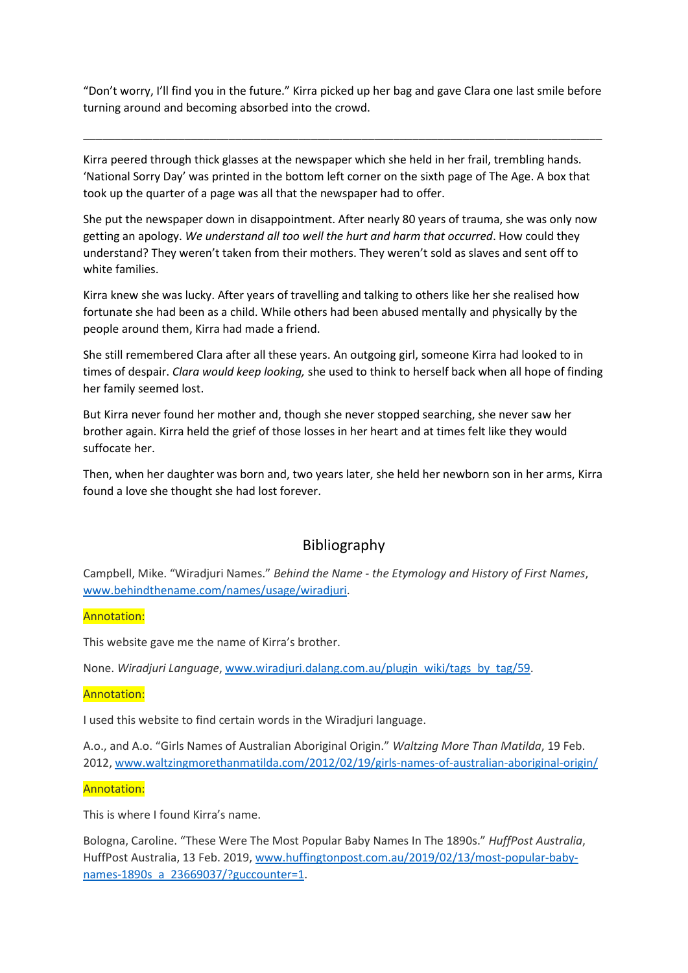"Don't worry, I'll find you in the future." Kirra picked up her bag and gave Clara one last smile before turning around and becoming absorbed into the crowd.

\_\_\_\_\_\_\_\_\_\_\_\_\_\_\_\_\_\_\_\_\_\_\_\_\_\_\_\_\_\_\_\_\_\_\_\_\_\_\_\_\_\_\_\_\_\_\_\_\_\_\_\_\_\_\_\_\_\_\_\_\_\_\_\_\_\_\_\_\_\_\_\_\_\_\_\_\_\_\_\_\_\_

Kirra peered through thick glasses at the newspaper which she held in her frail, trembling hands. 'National Sorry Day' was printed in the bottom left corner on the sixth page of The Age. A box that took up the quarter of a page was all that the newspaper had to offer.

She put the newspaper down in disappointment. After nearly 80 years of trauma, she was only now getting an apology. *We understand all too well the hurt and harm that occurred*. How could they understand? They weren't taken from their mothers. They weren't sold as slaves and sent off to white families.

Kirra knew she was lucky. After years of travelling and talking to others like her she realised how fortunate she had been as a child. While others had been abused mentally and physically by the people around them, Kirra had made a friend.

She still remembered Clara after all these years. An outgoing girl, someone Kirra had looked to in times of despair. *Clara would keep looking,* she used to think to herself back when all hope of finding her family seemed lost.

But Kirra never found her mother and, though she never stopped searching, she never saw her brother again. Kirra held the grief of those losses in her heart and at times felt like they would suffocate her.

Then, when her daughter was born and, two years later, she held her newborn son in her arms, Kirra found a love she thought she had lost forever.

# Bibliography

Campbell, Mike. "Wiradjuri Names." *Behind the Name - the Etymology and History of First Names*, [www.behindthename.com/names/usage/wiradjuri.](http://www.behindthename.com/names/usage/wiradjuri)

Annotation:

This website gave me the name of Kirra's brother.

None. *Wiradjuri Language*, [www.wiradjuri.dalang.com.au/plugin\\_wiki/tags\\_by\\_tag/59.](http://www.wiradjuri.dalang.com.au/plugin_wiki/tags_by_tag/59)

#### Annotation:

I used this website to find certain words in the Wiradjuri language.

A.o., and A.o. "Girls Names of Australian Aboriginal Origin." *Waltzing More Than Matilda*, 19 Feb. 2012[, www.waltzingmorethanmatilda.com/2012/02/19/girls-names-of-australian-aboriginal-origin/](http://www.waltzingmorethanmatilda.com/2012/02/19/girls-names-of-australian-aboriginal-origin/)

#### Annotation:

This is where I found Kirra's name.

Bologna, Caroline. "These Were The Most Popular Baby Names In The 1890s." *HuffPost Australia*, HuffPost Australia, 13 Feb. 2019, [www.huffingtonpost.com.au/2019/02/13/most-popular-baby](http://www.huffingtonpost.com.au/2019/02/13/most-popular-baby-names-1890s_a_23669037/?guccounter=1)[names-1890s\\_a\\_23669037/?guccounter=1.](http://www.huffingtonpost.com.au/2019/02/13/most-popular-baby-names-1890s_a_23669037/?guccounter=1)